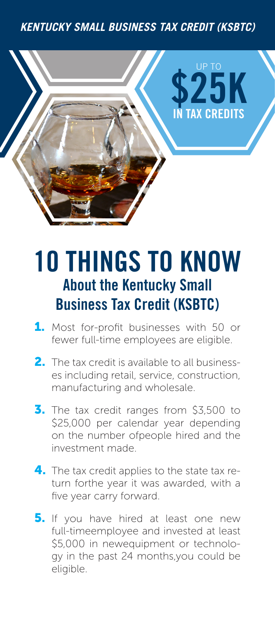## *KENTUCKY SMALL BUSINESS TAX CREDIT (KSBTC)*



## 10 THINGS TO KNOW About the Kentucky Small Business Tax Credit (KSBTC)

- **1.** Most for-profit businesses with 50 or fewer full-time employees are eligible.
- 2. The tax credit is available to all businesses including retail, service, construction, manufacturing and wholesale.
- **3.** The tax credit ranges from \$3,500 to \$25,000 per calendar year depending on the number ofpeople hired and the investment made.
- **4.** The tax credit applies to the state tax return forthe year it was awarded, with a five year carry forward.
- **5.** If you have hired at least one new full-timeemployee and invested at least \$5,000 in newequipment or technology in the past 24 months,you could be eligible.